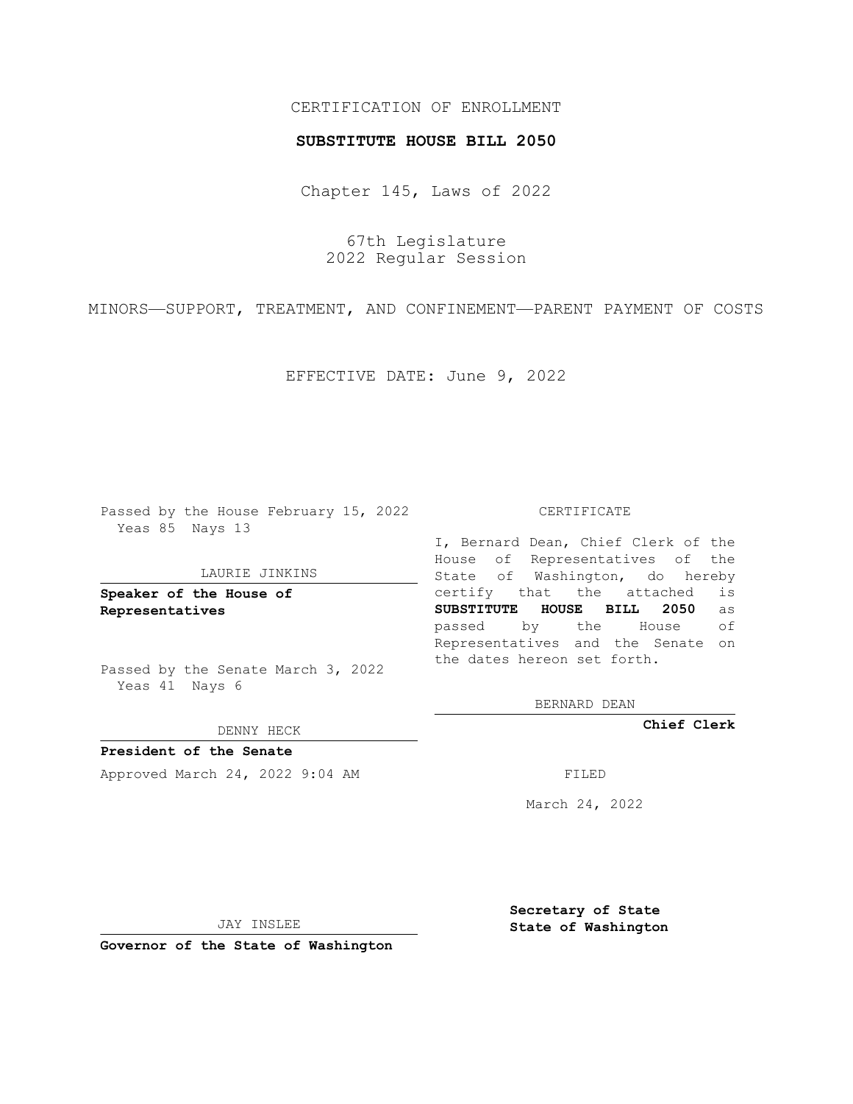# CERTIFICATION OF ENROLLMENT

### **SUBSTITUTE HOUSE BILL 2050**

Chapter 145, Laws of 2022

67th Legislature 2022 Regular Session

MINORS—SUPPORT, TREATMENT, AND CONFINEMENT—PARENT PAYMENT OF COSTS

EFFECTIVE DATE: June 9, 2022

Passed by the House February 15, 2022 Yeas 85 Nays 13

#### LAURIE JINKINS

**Speaker of the House of Representatives**

Passed by the Senate March 3, 2022 Yeas 41 Nays 6

DENNY HECK

**President of the Senate** Approved March 24, 2022 9:04 AM FILED

CERTIFICATE

I, Bernard Dean, Chief Clerk of the House of Representatives of the State of Washington, do hereby certify that the attached is **SUBSTITUTE HOUSE BILL 2050** as passed by the House of Representatives and the Senate on the dates hereon set forth.

BERNARD DEAN

**Chief Clerk**

March 24, 2022

JAY INSLEE

**Governor of the State of Washington**

**Secretary of State State of Washington**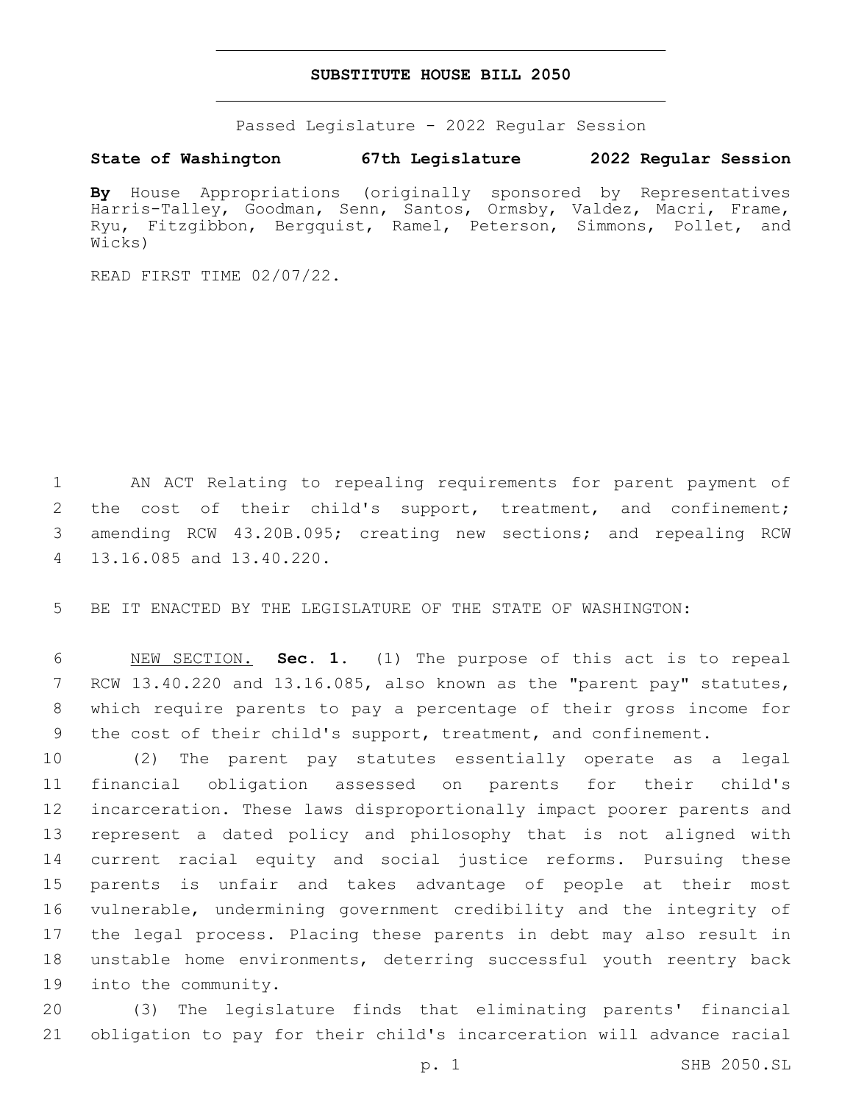## **SUBSTITUTE HOUSE BILL 2050**

Passed Legislature - 2022 Regular Session

# **State of Washington 67th Legislature 2022 Regular Session**

**By** House Appropriations (originally sponsored by Representatives Harris-Talley, Goodman, Senn, Santos, Ormsby, Valdez, Macri, Frame, Ryu, Fitzgibbon, Bergquist, Ramel, Peterson, Simmons, Pollet, and Wicks)

READ FIRST TIME 02/07/22.

 AN ACT Relating to repealing requirements for parent payment of the cost of their child's support, treatment, and confinement; amending RCW 43.20B.095; creating new sections; and repealing RCW 13.16.085 and 13.40.220.4

BE IT ENACTED BY THE LEGISLATURE OF THE STATE OF WASHINGTON:

 NEW SECTION. **Sec. 1.** (1) The purpose of this act is to repeal RCW 13.40.220 and 13.16.085, also known as the "parent pay" statutes, which require parents to pay a percentage of their gross income for the cost of their child's support, treatment, and confinement.

 (2) The parent pay statutes essentially operate as a legal financial obligation assessed on parents for their child's incarceration. These laws disproportionally impact poorer parents and represent a dated policy and philosophy that is not aligned with current racial equity and social justice reforms. Pursuing these parents is unfair and takes advantage of people at their most vulnerable, undermining government credibility and the integrity of the legal process. Placing these parents in debt may also result in unstable home environments, deterring successful youth reentry back 19 into the community.

 (3) The legislature finds that eliminating parents' financial obligation to pay for their child's incarceration will advance racial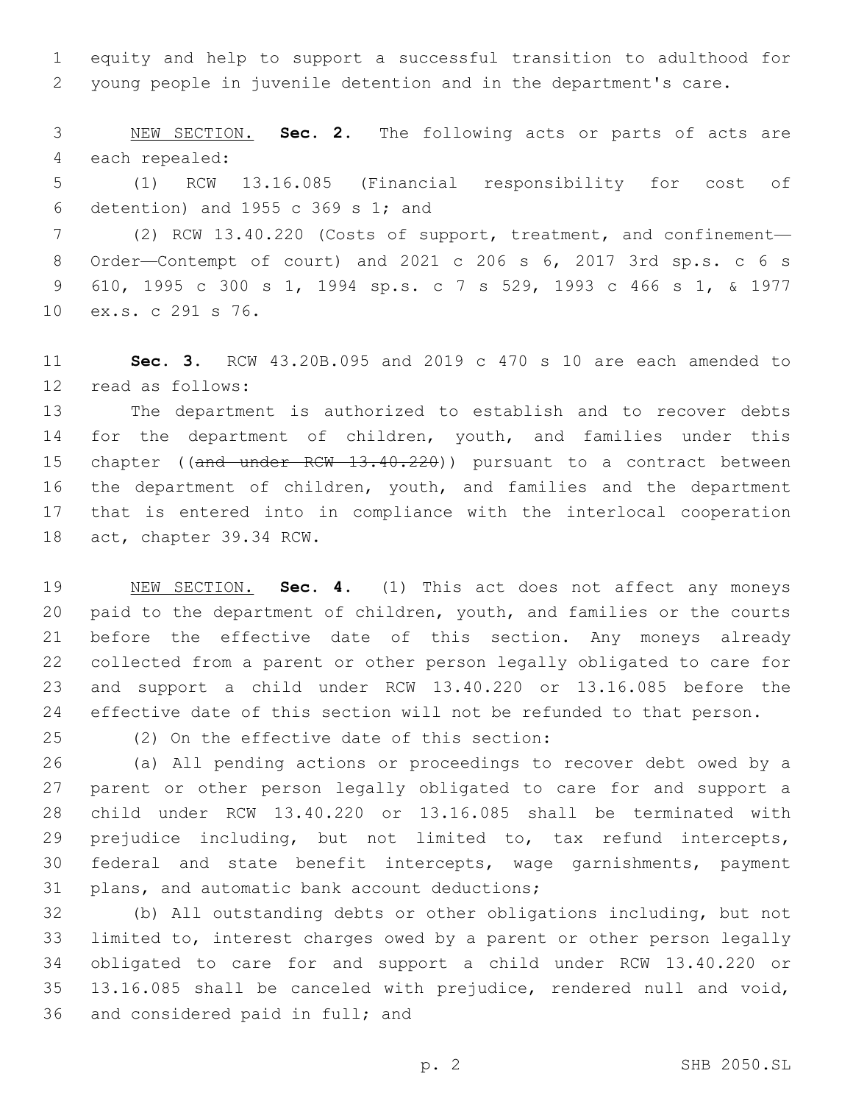equity and help to support a successful transition to adulthood for young people in juvenile detention and in the department's care.

 NEW SECTION. **Sec. 2.** The following acts or parts of acts are each repealed:

 (1) RCW 13.16.085 (Financial responsibility for cost of 6 detention) and 1955 c 369 s 1; and

 (2) RCW 13.40.220 (Costs of support, treatment, and confinement— Order—Contempt of court) and 2021 c 206 s 6, 2017 3rd sp.s. c 6 s 610, 1995 c 300 s 1, 1994 sp.s. c 7 s 529, 1993 c 466 s 1, & 1977 10 ex.s. c 291 s 76.

 **Sec. 3.** RCW 43.20B.095 and 2019 c 470 s 10 are each amended to read as follows:12

 The department is authorized to establish and to recover debts for the department of children, youth, and families under this 15 chapter ((and under RCW 13.40.220)) pursuant to a contract between the department of children, youth, and families and the department that is entered into in compliance with the interlocal cooperation 18 act, chapter 39.34 RCW.

 NEW SECTION. **Sec. 4.** (1) This act does not affect any moneys paid to the department of children, youth, and families or the courts before the effective date of this section. Any moneys already collected from a parent or other person legally obligated to care for and support a child under RCW 13.40.220 or 13.16.085 before the effective date of this section will not be refunded to that person.

(2) On the effective date of this section:25

 (a) All pending actions or proceedings to recover debt owed by a parent or other person legally obligated to care for and support a child under RCW 13.40.220 or 13.16.085 shall be terminated with prejudice including, but not limited to, tax refund intercepts, federal and state benefit intercepts, wage garnishments, payment 31 plans, and automatic bank account deductions;

 (b) All outstanding debts or other obligations including, but not limited to, interest charges owed by a parent or other person legally obligated to care for and support a child under RCW 13.40.220 or 13.16.085 shall be canceled with prejudice, rendered null and void, 36 and considered paid in full; and